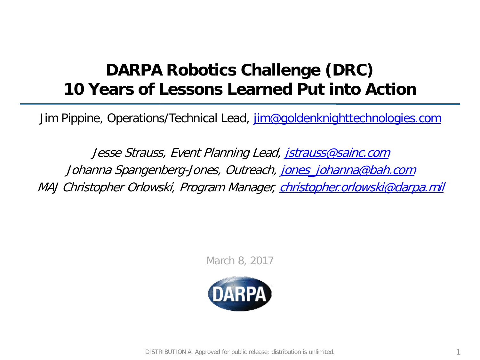## **DARPA Robotics Challenge (DRC) 10 Years of Lessons Learned Put into Action**

Jim Pippine, Operations/Technical Lead, [jim@goldenknighttechnologies.com](mailto:jim@goldenknighttechnologies.com)

Jesse Strauss, Event Planning Lead, [jstrauss@sainc.com](mailto:jstrauss@sainc.com) Johanna Spangenberg-Jones, Outreach, jones johanna@bah.com MAJ Christopher Orlowski, Program Manager, [christopher.orlowski@darpa.mil](mailto:christopher.orlowski@darpa.mil)

March 8, 2017

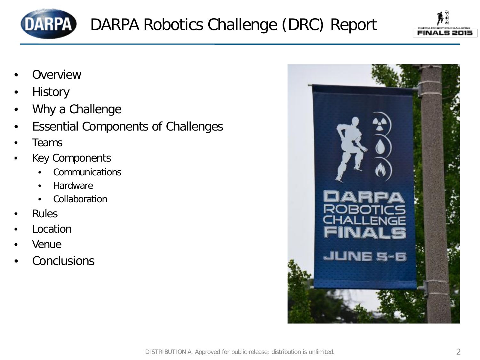



- **Overview**
- **History**
- Why a Challenge
- Essential Components of Challenges
- Teams
- **Key Components** 
	- **Communications**
	- Hardware
	- **Collaboration**
- **Rules**
- **Location**
- Venue
- **Conclusions**

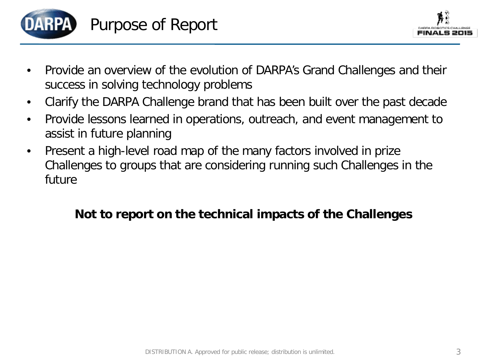

- Provide an overview of the evolution of DARPA's Grand Challenges and their success in solving technology problems
- Clarify the DARPA Challenge brand that has been built over the past decade
- Provide lessons learned in operations, outreach, and event management to assist in future planning
- Present a high-level road map of the many factors involved in prize Challenges to groups that are considering running such Challenges in the future

#### **Not to report on the technical impacts of the Challenges**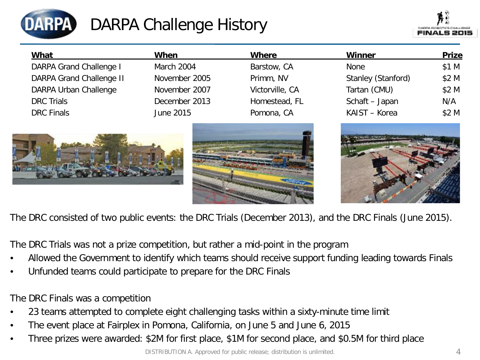

## DARPA Challenge History

| What                            | When          | <b>Where</b>    | <b>Winner</b>      | <b>Prize</b> |
|---------------------------------|---------------|-----------------|--------------------|--------------|
| <b>DARPA Grand Challenge I</b>  | March 2004    | Barstow, CA     | None               | \$1 M        |
| <b>DARPA Grand Challenge II</b> | November 2005 | Primm, NV       | Stanley (Stanford) | \$2 M        |
| DARPA Urban Challenge           | November 2007 | Victorville, CA | Tartan (CMU)       | \$2 M        |
| <b>DRC</b> Trials               | December 2013 | Homestead, FL   | Schaft - Japan     | N/A          |
| <b>DRC</b> Finals               | June 2015     | Pomona, CA      | KAIST - Korea      | \$2 M        |







The DRC consisted of two public events: the DRC Trials (December 2013), and the DRC Finals (June 2015).

The DRC Trials was not a prize competition, but rather a mid-point in the program

- Allowed the Government to identify which teams should receive support funding leading towards Finals
- Unfunded teams could participate to prepare for the DRC Finals

The DRC Finals was a competition

- 23 teams attempted to complete eight challenging tasks within a sixty-minute time limit
- The event place at Fairplex in Pomona, California, on June 5 and June 6, 2015
- Three prizes were awarded: \$2M for first place, \$1M for second place, and \$0.5M for third place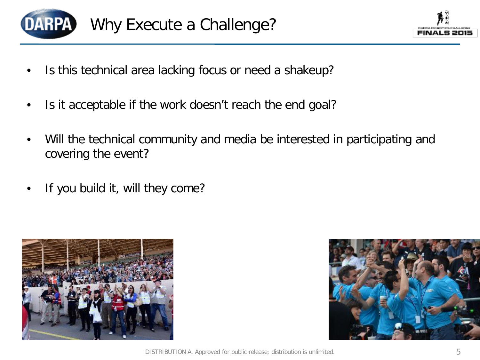

- Is this technical area lacking focus or need a shakeup?
- Is it acceptable if the work doesn't reach the end goal?
- Will the technical community and media be interested in participating and covering the event?
- If you build it, will they come?



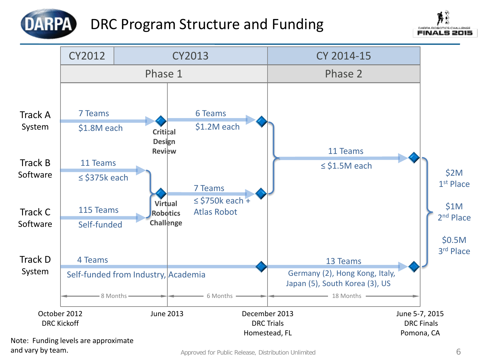

### DRC Program Structure and Funding





Note: Funding levels are approximate and vary by team.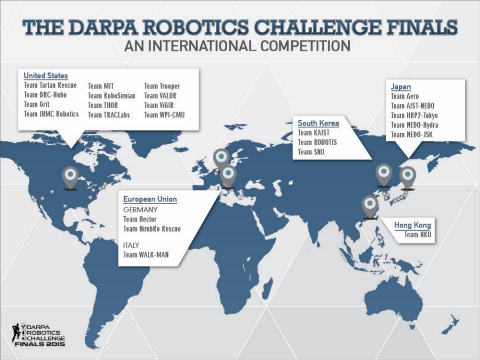## THE DARPA ROBOTICS CHALLENGE FINALS AN INTERNATIONAL COMPETITION

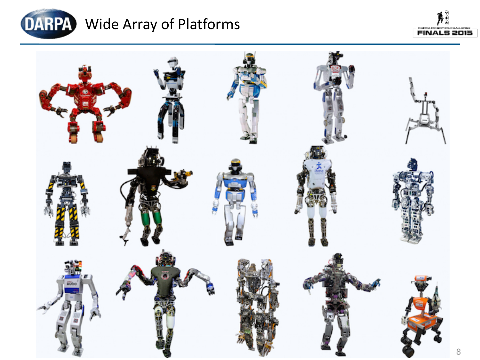

# DARPA Wide Array of Platforms



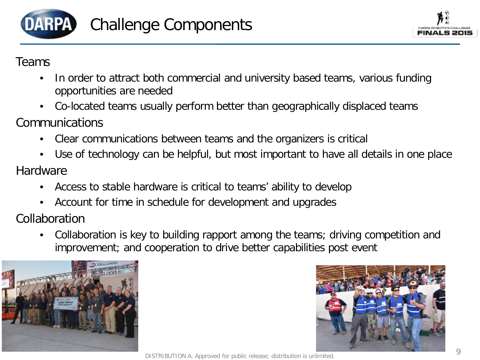

#### Teams

- In order to attract both commercial and university based teams, various funding opportunities are needed
- Co-located teams usually perform better than geographically displaced teams
- Communications
	- Clear communications between teams and the organizers is critical
- Use of technology can be helpful, but most important to have all details in one place **Hardware** 
	- Access to stable hardware is critical to teams' ability to develop
	- Account for time in schedule for development and upgrades
- Collaboration
	- Collaboration is key to building rapport among the teams; driving competition and improvement; and cooperation to drive better capabilities post event





DISTRIBUTION A. Approved for public release; distribution is unlimited.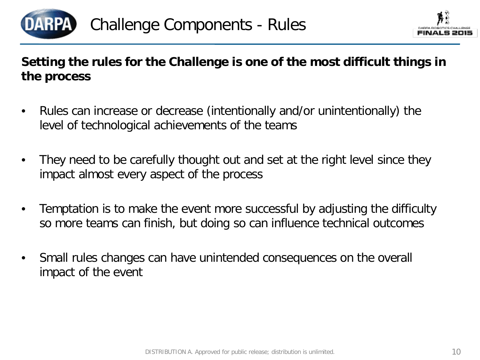

#### **Setting the rules for the Challenge is one of the most difficult things in the process**

- Rules can increase or decrease (intentionally and/or unintentionally) the level of technological achievements of the teams
- They need to be carefully thought out and set at the right level since they impact almost every aspect of the process
- Temptation is to make the event more successful by adjusting the difficulty so more teams can finish, but doing so can influence technical outcomes
- Small rules changes can have unintended consequences on the overall impact of the event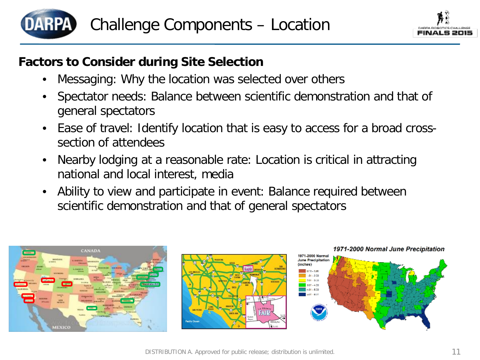



#### **Factors to Consider during Site Selection**

- Messaging: Why the location was selected over others
- Spectator needs: Balance between scientific demonstration and that of general spectators
- Ease of travel: Identify location that is easy to access for a broad crosssection of attendees
- Nearby lodging at a reasonable rate: Location is critical in attracting national and local interest, media
- Ability to view and participate in event: Balance required between scientific demonstration and that of general spectators

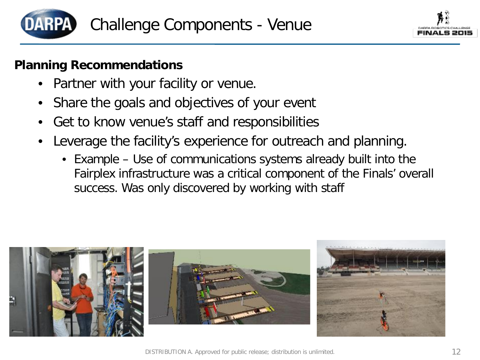



#### **Planning Recommendations**

- Partner with your facility or venue.
- Share the goals and objectives of your event
- Get to know venue's staff and responsibilities
- Leverage the facility's experience for outreach and planning.
	- Example Use of communications systems already built into the Fairplex infrastructure was a critical component of the Finals' overall success. Was only discovered by working with staff

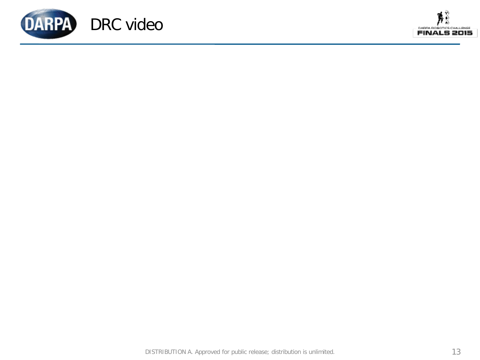

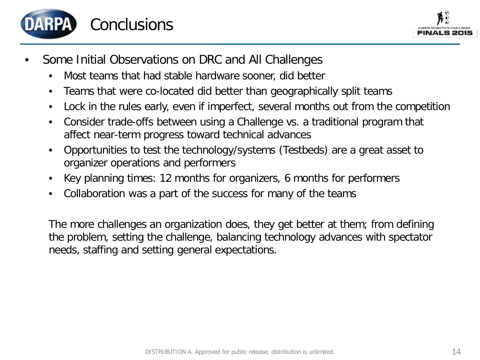



- Some Initial Observations on DRC and All Challenges
	- Most teams that had stable hardware sooner, did better
	- Teams that were co-located did better than geographically split teams
	- Lock in the rules early, even if imperfect, several months out from the competition
	- Consider trade-offs between using a Challenge vs. a traditional program that affect near-term progress toward technical advances
	- Opportunities to test the technology/systems (Testbeds) are a great asset to organizer operations and performers
	- Key planning times: 12 months for organizers, 6 months for performers
	- Collaboration was a part of the success for many of the teams

The more challenges an organization does, they get better at them; from defining the problem, setting the challenge, balancing technology advances with spectator needs, staffing and setting general expectations.